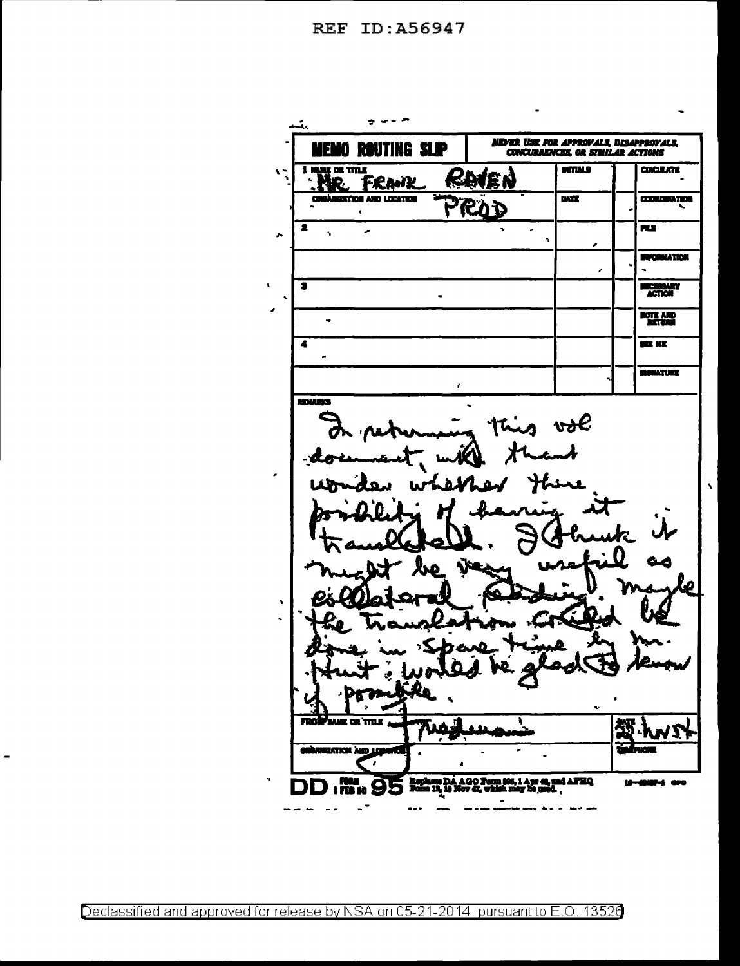REF ID: A56947

 $\mathbf{v}$ 

 $\pmb{\cdot}$ 

 $\lambda$ 

 $\overline{\phantom{0}}$ 

 $\bullet$ ومن المراجع ئے **NEVER USE FOR APPROVALS, DISAPPROVALS,<br>CONCURRENCES, OR SIMILAR ACTIONS MEMO ROUTING SLIP DITIALS CIRCULATE**  $\frac{1}{2}$  or that  $\mathbf{A}$ €. EN **FRANK** HR. **REATION AND LOCATION**  $\overline{\mathbf{M}}$ **COORDINATION** ይአን  $\mathbf{r}$ **FLE**  $\bullet$ J,  $\hat{\phantom{a}}$  $\overline{\phantom{a}}$ ٠ **INFORMATION** J. L **HECKBARY** 3  $\overline{a}$ **HOTE AND**<br>RETURN L, SEE KE  $\overline{\bullet}$  $\overline{\phantom{a}}$ SIGNATURE z **BITALA BACK** vol  $\pmb{\mathsf{v}}$ k, **UNIE OR TTTLE** 720 **GARGATION AND LOS** ٠, 5,14pm et al. AGO Tem I **nd AFHQ DD . NH. 95** 10137-1 070 10 £ es is  $\overline{a}$  $- \sim$   $\sim$ --- $\sim$ 

Declassified and approved for release by NSA on 05-21-2014 pursuant to E.O. 13526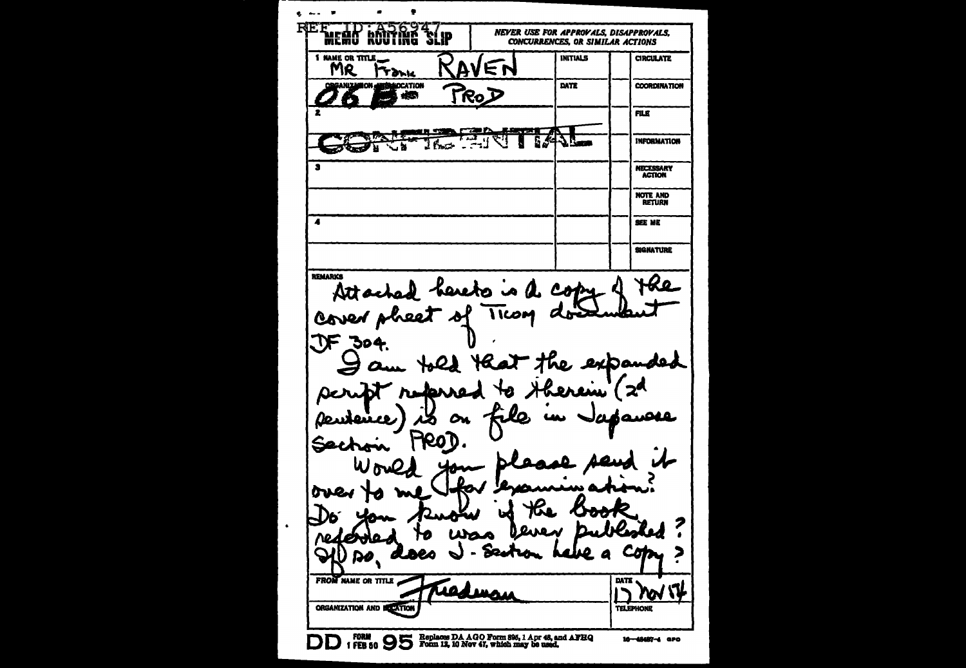$\bullet$   $\bullet$   $\bullet$   $\bullet$  $\bullet$ ٠ REE TID A56947 **NEVER USE FOR APPROVALS, DISAPPROVALS. CONCURRENCES. OR SIMILAR ACTIONS** 1 NAME OR TITLE **INITIALS CIRCULATE** RAVEN MR **Trank GAMPL MOCATION** DATE **COORDINATION** TROD àB. FILE معص <u>Lary z p</u> The Land  $5/4J$ H **INFORMATION** र ४ `s **NECESSARY ACTION NOTE AND** RETURN  $\overline{\textbf{A}}$ SEE ME **SIGNATURE** REMARKS Hle Attached hereto is a copy Cover pheet of Ticom does  $TF$  304. Heat the expanded Jam told  $\mathbf{Z}^{\mathbf{A}}$ script referred to therein كلد on file un Japanese feuteire) **HROT** Secho over -1)6 Ю ついん Cл ю. 2 A RO FROM NAME OR TITLE **DATE LAA MAA**  $\Gamma$  yor  $\Gamma$ ORGANIZATION AND BOTATION **TELEPHONE** DD (FORM 9 95 Replaces DA AGO Form 806, 1 Apr 48, and AFBQ 16-48487-4 aPO